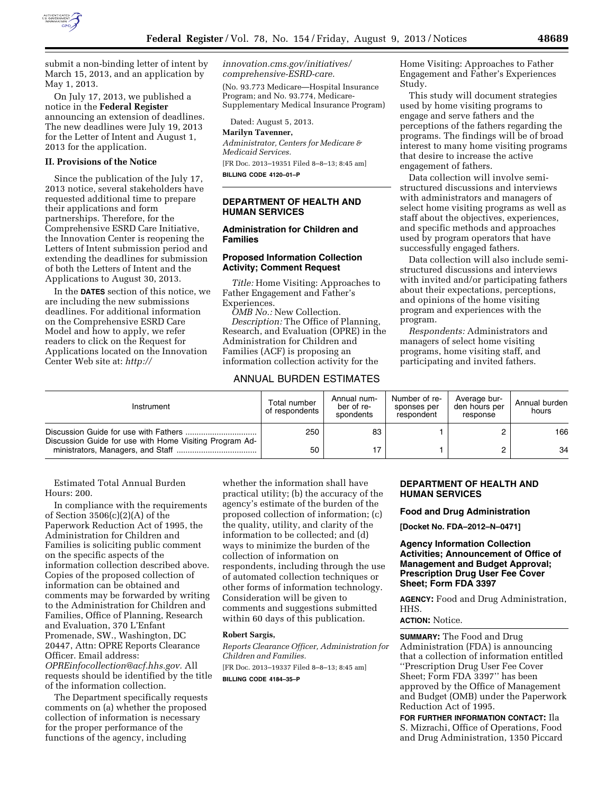

submit a non-binding letter of intent by March 15, 2013, and an application by May 1, 2013.

On July 17, 2013, we published a notice in the **Federal Register**  announcing an extension of deadlines. The new deadlines were July 19, 2013 for the Letter of Intent and August 1, 2013 for the application.

#### **II. Provisions of the Notice**

Since the publication of the July 17, 2013 notice, several stakeholders have requested additional time to prepare their applications and form partnerships. Therefore, for the Comprehensive ESRD Care Initiative, the Innovation Center is reopening the Letters of Intent submission period and extending the deadlines for submission of both the Letters of Intent and the Applications to August 30, 2013.

In the **DATES** section of this notice, we are including the new submissions deadlines. For additional information on the Comprehensive ESRD Care Model and how to apply, we refer readers to click on the Request for Applications located on the Innovation Center Web site at: *[http://](http://innovation.cms.gov/initiatives/comprehensive-ESRD-care)* 

*[innovation.cms.gov/initiatives/](http://innovation.cms.gov/initiatives/comprehensive-ESRD-care)  [comprehensive-ESRD-care.](http://innovation.cms.gov/initiatives/comprehensive-ESRD-care)* 

(No. 93.773 Medicare—Hospital Insurance Program; and No. 93.774, Medicare-Supplementary Medical Insurance Program)

Dated: August 5, 2013.

# **Marilyn Tavenner,**

*Administrator, Centers for Medicare & Medicaid Services.*  [FR Doc. 2013–19351 Filed 8–8–13; 8:45 am] **BILLING CODE 4120–01–P** 

## **DEPARTMENT OF HEALTH AND HUMAN SERVICES**

# **Administration for Children and Families**

# **Proposed Information Collection Activity; Comment Request**

*Title:* Home Visiting: Approaches to Father Engagement and Father's Experiences.

*OMB No.:* New Collection. *Description:* The Office of Planning, Research, and Evaluation (OPRE) in the Administration for Children and Families (ACF) is proposing an information collection activity for the

# ANNUAL BURDEN ESTIMATES

Home Visiting: Approaches to Father Engagement and Father's Experiences Study.

This study will document strategies used by home visiting programs to engage and serve fathers and the perceptions of the fathers regarding the programs. The findings will be of broad interest to many home visiting programs that desire to increase the active engagement of fathers.

Data collection will involve semistructured discussions and interviews with administrators and managers of select home visiting programs as well as staff about the objectives, experiences, and specific methods and approaches used by program operators that have successfully engaged fathers.

Data collection will also include semistructured discussions and interviews with invited and/or participating fathers about their expectations, perceptions, and opinions of the home visiting program and experiences with the program.

*Respondents:* Administrators and managers of select home visiting programs, home visiting staff, and participating and invited fathers.

| Instrument                                              | Total number<br>of respondents | Annual num-<br>ber of re-<br>spondents | Number of re-<br>sponses per<br>respondent | Average bur-<br>den hours per<br>response | Annual burden<br>hours |
|---------------------------------------------------------|--------------------------------|----------------------------------------|--------------------------------------------|-------------------------------------------|------------------------|
| Discussion Guide for use with Home Visiting Program Ad- | 250                            | 83                                     |                                            |                                           | 166                    |
|                                                         | 50                             |                                        |                                            |                                           | 34                     |

Estimated Total Annual Burden Hours: 200.

In compliance with the requirements of Section 3506(c)(2)(A) of the Paperwork Reduction Act of 1995, the Administration for Children and Families is soliciting public comment on the specific aspects of the information collection described above. Copies of the proposed collection of information can be obtained and comments may be forwarded by writing to the Administration for Children and Families, Office of Planning, Research and Evaluation, 370 L'Enfant Promenade, SW., Washington, DC 20447, Attn: OPRE Reports Clearance Officer. Email address: *[OPREinfocollection@acf.hhs.gov.](mailto:OPREinfocollection@acf.hhs.gov)* All requests should be identified by the title of the information collection.

The Department specifically requests comments on (a) whether the proposed collection of information is necessary for the proper performance of the functions of the agency, including

whether the information shall have practical utility; (b) the accuracy of the agency's estimate of the burden of the proposed collection of information; (c) the quality, utility, and clarity of the information to be collected; and (d) ways to minimize the burden of the collection of information on respondents, including through the use of automated collection techniques or other forms of information technology. Consideration will be given to comments and suggestions submitted within 60 days of this publication.

#### **Robert Sargis,**

*Reports Clearance Officer, Administration for Children and Families.* 

[FR Doc. 2013–19337 Filed 8–8–13; 8:45 am]

**BILLING CODE 4184–35–P** 

## **DEPARTMENT OF HEALTH AND HUMAN SERVICES**

**Food and Drug Administration** 

**[Docket No. FDA–2012–N–0471]** 

**Agency Information Collection Activities; Announcement of Office of Management and Budget Approval; Prescription Drug User Fee Cover Sheet; Form FDA 3397** 

**AGENCY:** Food and Drug Administration, HHS.

# **ACTION:** Notice.

**SUMMARY:** The Food and Drug Administration (FDA) is announcing that a collection of information entitled ''Prescription Drug User Fee Cover Sheet; Form FDA 3397'' has been approved by the Office of Management and Budget (OMB) under the Paperwork Reduction Act of 1995.

**FOR FURTHER INFORMATION CONTACT:** Ila S. Mizrachi, Office of Operations, Food and Drug Administration, 1350 Piccard